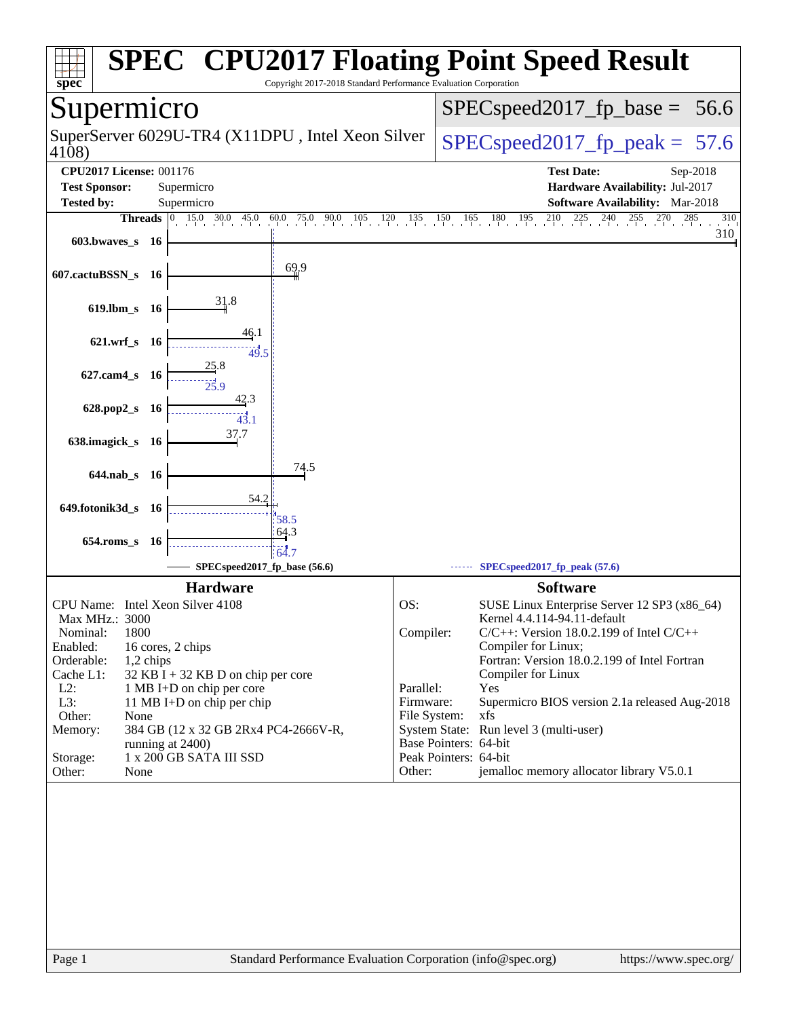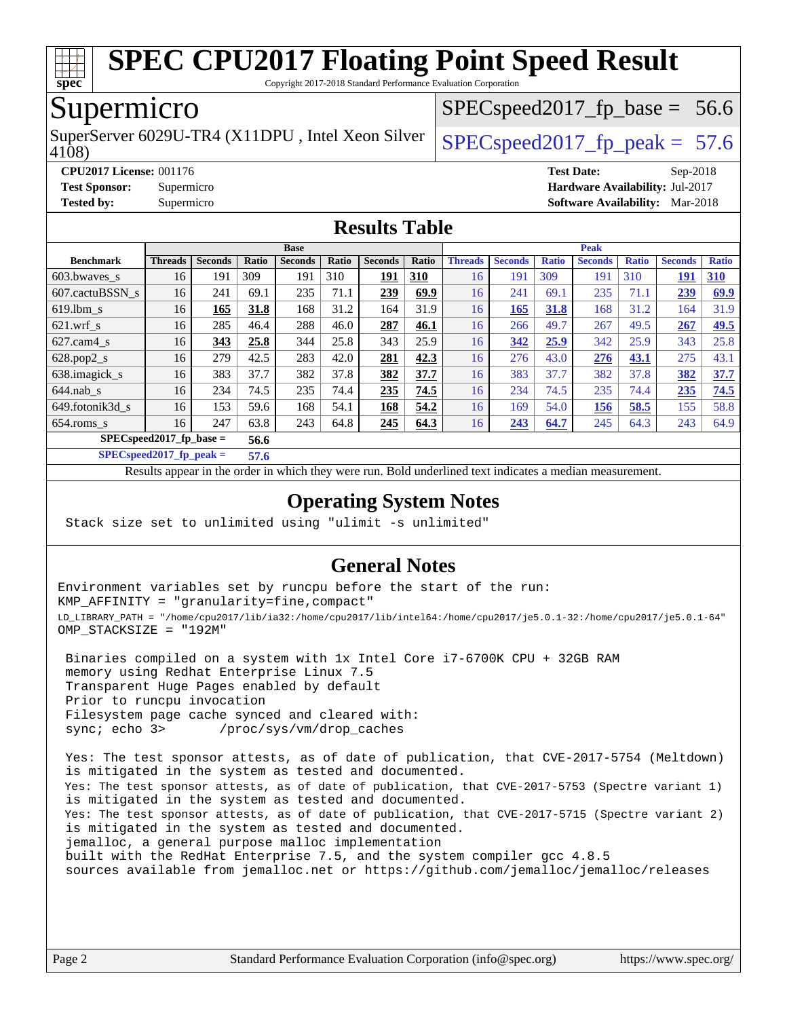

Copyright 2017-2018 Standard Performance Evaluation Corporation

## Supermicro

4108) SuperServer 6029U-TR4 (X11DPU, Intel Xeon Silver  $\big|$  SPECspeed2017 fp\_peak = 57.6

 $SPECspeed2017<sub>fp</sub> base = 56.6$ 

**[CPU2017 License:](http://www.spec.org/auto/cpu2017/Docs/result-fields.html#CPU2017License)** 001176 **[Test Date:](http://www.spec.org/auto/cpu2017/Docs/result-fields.html#TestDate)** Sep-2018 **[Test Sponsor:](http://www.spec.org/auto/cpu2017/Docs/result-fields.html#TestSponsor)** Supermicro **[Hardware Availability:](http://www.spec.org/auto/cpu2017/Docs/result-fields.html#HardwareAvailability)** Jul-2017 **[Tested by:](http://www.spec.org/auto/cpu2017/Docs/result-fields.html#Testedby)** Supermicro **[Software Availability:](http://www.spec.org/auto/cpu2017/Docs/result-fields.html#SoftwareAvailability)** Mar-2018

### **[Results Table](http://www.spec.org/auto/cpu2017/Docs/result-fields.html#ResultsTable)**

|                             | <b>Base</b>    |                |       |                |       |                |            |                | <b>Peak</b>    |              |                |              |                |              |  |
|-----------------------------|----------------|----------------|-------|----------------|-------|----------------|------------|----------------|----------------|--------------|----------------|--------------|----------------|--------------|--|
| <b>Benchmark</b>            | <b>Threads</b> | <b>Seconds</b> | Ratio | <b>Seconds</b> | Ratio | <b>Seconds</b> | Ratio      | <b>Threads</b> | <b>Seconds</b> | <b>Ratio</b> | <b>Seconds</b> | <b>Ratio</b> | <b>Seconds</b> | <b>Ratio</b> |  |
| 603.bwaves_s                | 16             | 191            | 309   | 191            | 310   | 191            | <b>310</b> | 16             | 191            | 309          | 191            | 310          | 191            | <b>310</b>   |  |
| 607.cactuBSSN s             | 16             | 241            | 69.1  | 235            | 71.1  | 239            | 69.9       | 16             | 241            | 69.1         | 235            | 71.1         | 239            | 69.9         |  |
| $619.1$ bm s                | 16             | 165            | 31.8  | 168            | 31.2  | 164            | 31.9       | 16             | 165            | 31.8         | 168            | 31.2         | 164            | 31.9         |  |
| $621.wrf$ s                 | 16             | 285            | 46.4  | 288            | 46.0  | 287            | 46.1       | 16             | 266            | 49.7         | 267            | 49.5         | 267            | 49.5         |  |
| $627$ .cam $4$ <sub>S</sub> | 16             | 343            | 25.8  | 344            | 25.8  | 343            | 25.9       | 16             | 342            | 25.9         | 342            | 25.9         | 343            | 25.8         |  |
| $628.pop2_s$                | 16             | 279            | 42.5  | 283            | 42.0  | 281            | 42.3       | 16             | 276            | 43.0         | 276            | 43.1         | 275            | 43.1         |  |
| 638.imagick_s               | 16             | 383            | 37.7  | 382            | 37.8  | 382            | 37.7       | 16             | 383            | 37.7         | 382            | 37.8         | 382            | 37.7         |  |
| $644$ .nab s                | 16             | 234            | 74.5  | 235            | 74.4  | 235            | 74.5       | 16             | 234            | 74.5         | 235            | 74.4         | 235            | 74.5         |  |
| 649.fotonik3d s             | 16             | 153            | 59.6  | 168            | 54.1  | 168            | 54.2       | 16             | 169            | 54.0         | <u>156</u>     | 58.5         | 155            | 58.8         |  |
| $654$ .roms_s               | 16             | 247            | 63.8  | 243            | 64.8  | 245            | 64.3       | 16             | 243            | 64.7         | 245            | 64.3         | 243            | 64.9         |  |
| $SPEC speed2017_fp\_base =$ | 56.6           |                |       |                |       |                |            |                |                |              |                |              |                |              |  |

**[SPECspeed2017\\_fp\\_peak =](http://www.spec.org/auto/cpu2017/Docs/result-fields.html#SPECspeed2017fppeak) 57.6**

Results appear in the [order in which they were run.](http://www.spec.org/auto/cpu2017/Docs/result-fields.html#RunOrder) Bold underlined text [indicates a median measurement](http://www.spec.org/auto/cpu2017/Docs/result-fields.html#Median).

### **[Operating System Notes](http://www.spec.org/auto/cpu2017/Docs/result-fields.html#OperatingSystemNotes)**

Stack size set to unlimited using "ulimit -s unlimited"

### **[General Notes](http://www.spec.org/auto/cpu2017/Docs/result-fields.html#GeneralNotes)**

Environment variables set by runcpu before the start of the run: KMP\_AFFINITY = "granularity=fine,compact" LD\_LIBRARY\_PATH = "/home/cpu2017/lib/ia32:/home/cpu2017/lib/intel64:/home/cpu2017/je5.0.1-32:/home/cpu2017/je5.0.1-64" OMP\_STACKSIZE = "192M"

 Binaries compiled on a system with 1x Intel Core i7-6700K CPU + 32GB RAM memory using Redhat Enterprise Linux 7.5 Transparent Huge Pages enabled by default Prior to runcpu invocation Filesystem page cache synced and cleared with: sync; echo 3> /proc/sys/vm/drop\_caches

 Yes: The test sponsor attests, as of date of publication, that CVE-2017-5754 (Meltdown) is mitigated in the system as tested and documented. Yes: The test sponsor attests, as of date of publication, that CVE-2017-5753 (Spectre variant 1) is mitigated in the system as tested and documented. Yes: The test sponsor attests, as of date of publication, that CVE-2017-5715 (Spectre variant 2) is mitigated in the system as tested and documented. jemalloc, a general purpose malloc implementation built with the RedHat Enterprise 7.5, and the system compiler gcc 4.8.5 sources available from jemalloc.net or <https://github.com/jemalloc/jemalloc/releases>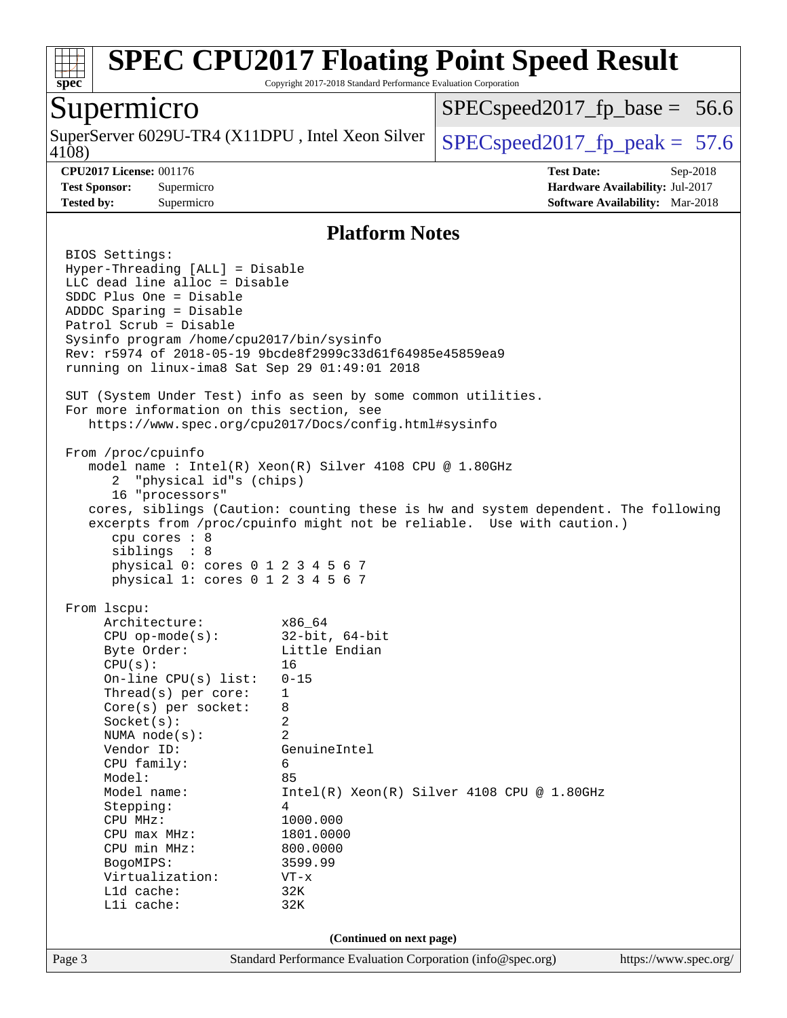

Copyright 2017-2018 Standard Performance Evaluation Corporation

### Supermicro

4108) SuperServer 6029U-TR4 (X11DPU, Intel Xeon Silver  $\big|$  SPECspeed2017 fp\_peak = 57.6

 $SPECspeed2017<sub>fp</sub> base = 56.6$ 

**[CPU2017 License:](http://www.spec.org/auto/cpu2017/Docs/result-fields.html#CPU2017License)** 001176 **[Test Date:](http://www.spec.org/auto/cpu2017/Docs/result-fields.html#TestDate)** Sep-2018 **[Test Sponsor:](http://www.spec.org/auto/cpu2017/Docs/result-fields.html#TestSponsor)** Supermicro **[Hardware Availability:](http://www.spec.org/auto/cpu2017/Docs/result-fields.html#HardwareAvailability)** Jul-2017 **[Tested by:](http://www.spec.org/auto/cpu2017/Docs/result-fields.html#Testedby)** Supermicro **[Software Availability:](http://www.spec.org/auto/cpu2017/Docs/result-fields.html#SoftwareAvailability)** Mar-2018

### **[Platform Notes](http://www.spec.org/auto/cpu2017/Docs/result-fields.html#PlatformNotes)**

Page 3 Standard Performance Evaluation Corporation [\(info@spec.org\)](mailto:info@spec.org) <https://www.spec.org/> BIOS Settings: Hyper-Threading [ALL] = Disable LLC dead line alloc = Disable SDDC Plus One = Disable ADDDC Sparing = Disable Patrol Scrub = Disable Sysinfo program /home/cpu2017/bin/sysinfo Rev: r5974 of 2018-05-19 9bcde8f2999c33d61f64985e45859ea9 running on linux-ima8 Sat Sep 29 01:49:01 2018 SUT (System Under Test) info as seen by some common utilities. For more information on this section, see <https://www.spec.org/cpu2017/Docs/config.html#sysinfo> From /proc/cpuinfo model name : Intel(R) Xeon(R) Silver 4108 CPU @ 1.80GHz 2 "physical id"s (chips) 16 "processors" cores, siblings (Caution: counting these is hw and system dependent. The following excerpts from /proc/cpuinfo might not be reliable. Use with caution.) cpu cores : 8 siblings : 8 physical 0: cores 0 1 2 3 4 5 6 7 physical 1: cores 0 1 2 3 4 5 6 7 From lscpu: Architecture: x86\_64 CPU op-mode(s): 32-bit, 64-bit Byte Order: Little Endian  $CPU(s):$  16 On-line CPU(s) list: 0-15 Thread(s) per core: 1 Core(s) per socket: 8 Socket(s): 2 NUMA node(s): 2 Vendor ID: GenuineIntel CPU family: 6 Model: 85 Model name:  $Intel(R)$  Xeon(R) Silver 4108 CPU @ 1.80GHz Stepping: 4 CPU MHz: 1000.000 CPU max MHz: 1801.0000 CPU min MHz: 800.0000 BogoMIPS: 3599.99 Virtualization: VT-x L1d cache: 32K L1i cache: 32K **(Continued on next page)**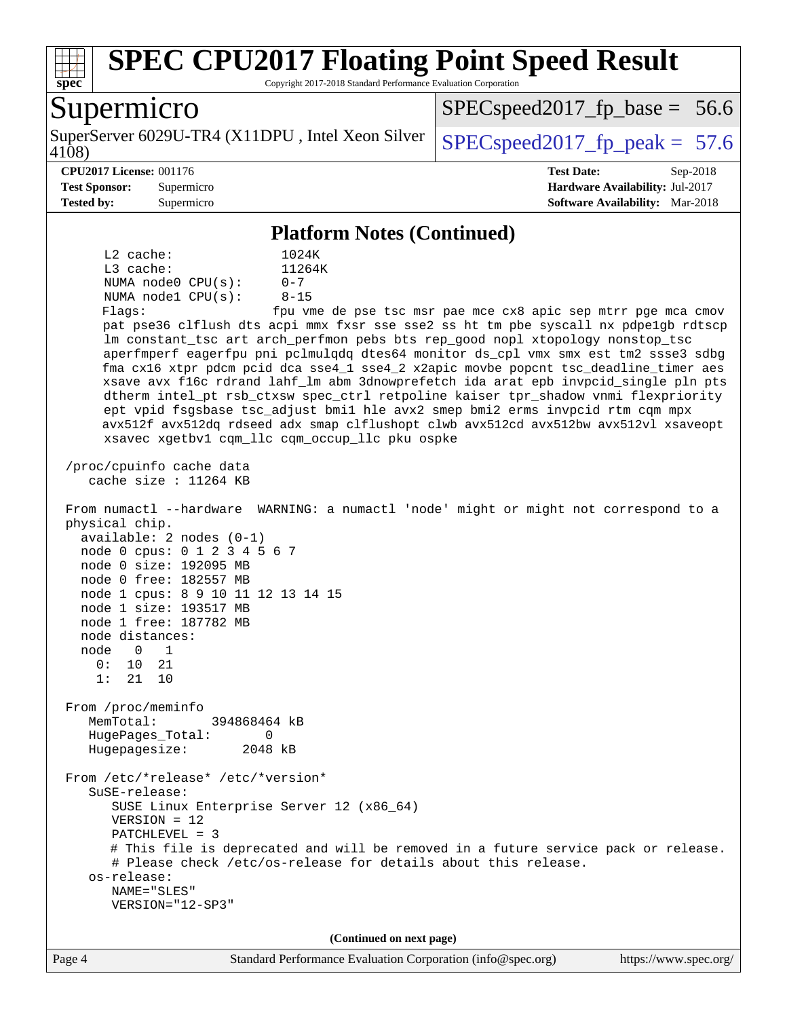

Copyright 2017-2018 Standard Performance Evaluation Corporation

## Supermicro

4108) SuperServer 6029U-TR4 (X11DPU, Intel Xeon Silver  $\big|$  SPECspeed2017 fp\_peak = 57.6

 $SPECspeed2017<sub>fp</sub> base = 56.6$ 

#### **[CPU2017 License:](http://www.spec.org/auto/cpu2017/Docs/result-fields.html#CPU2017License)** 001176 **[Test Date:](http://www.spec.org/auto/cpu2017/Docs/result-fields.html#TestDate)** Sep-2018

**[Test Sponsor:](http://www.spec.org/auto/cpu2017/Docs/result-fields.html#TestSponsor)** Supermicro **[Hardware Availability:](http://www.spec.org/auto/cpu2017/Docs/result-fields.html#HardwareAvailability)** Jul-2017

**[Tested by:](http://www.spec.org/auto/cpu2017/Docs/result-fields.html#Testedby)** Supermicro **[Software Availability:](http://www.spec.org/auto/cpu2017/Docs/result-fields.html#SoftwareAvailability)** Mar-2018

#### **[Platform Notes \(Continued\)](http://www.spec.org/auto/cpu2017/Docs/result-fields.html#PlatformNotes)** L2 cache: 1024K L3 cache:  $11264K$ <br>NUMA node0 CPU(s):  $0-7$ NUMA node0 CPU(s): NUMA node1 CPU(s): 8-15 Flags: fpu vme de pse tsc msr pae mce cx8 apic sep mtrr pge mca cmov pat pse36 clflush dts acpi mmx fxsr sse sse2 ss ht tm pbe syscall nx pdpe1gb rdtscp lm constant\_tsc art arch\_perfmon pebs bts rep\_good nopl xtopology nonstop\_tsc aperfmperf eagerfpu pni pclmulqdq dtes64 monitor ds\_cpl vmx smx est tm2 ssse3 sdbg fma cx16 xtpr pdcm pcid dca sse4\_1 sse4\_2 x2apic movbe popcnt tsc\_deadline\_timer aes xsave avx f16c rdrand lahf\_lm abm 3dnowprefetch ida arat epb invpcid\_single pln pts dtherm intel\_pt rsb\_ctxsw spec\_ctrl retpoline kaiser tpr\_shadow vnmi flexpriority ept vpid fsgsbase tsc\_adjust bmi1 hle avx2 smep bmi2 erms invpcid rtm cqm mpx avx512f avx512dq rdseed adx smap clflushopt clwb avx512cd avx512bw avx512vl xsaveopt xsavec xgetbv1 cqm\_llc cqm\_occup\_llc pku ospke /proc/cpuinfo cache data cache size : 11264 KB From numactl --hardware WARNING: a numactl 'node' might or might not correspond to a physical chip. available: 2 nodes (0-1) node 0 cpus: 0 1 2 3 4 5 6 7 node 0 size: 192095 MB node 0 free: 182557 MB node 1 cpus: 8 9 10 11 12 13 14 15 node 1 size: 193517 MB node 1 free: 187782 MB node distances: node 0 1 0: 10 21 1: 21 10 From /proc/meminfo MemTotal: 394868464 kB HugePages\_Total: 0 Hugepagesize: 2048 kB From /etc/\*release\* /etc/\*version\* SuSE-release: SUSE Linux Enterprise Server 12 (x86\_64) VERSION = 12 PATCHLEVEL = 3 # This file is deprecated and will be removed in a future service pack or release. # Please check /etc/os-release for details about this release. os-release: NAME="SLES" VERSION="12-SP3" **(Continued on next page)**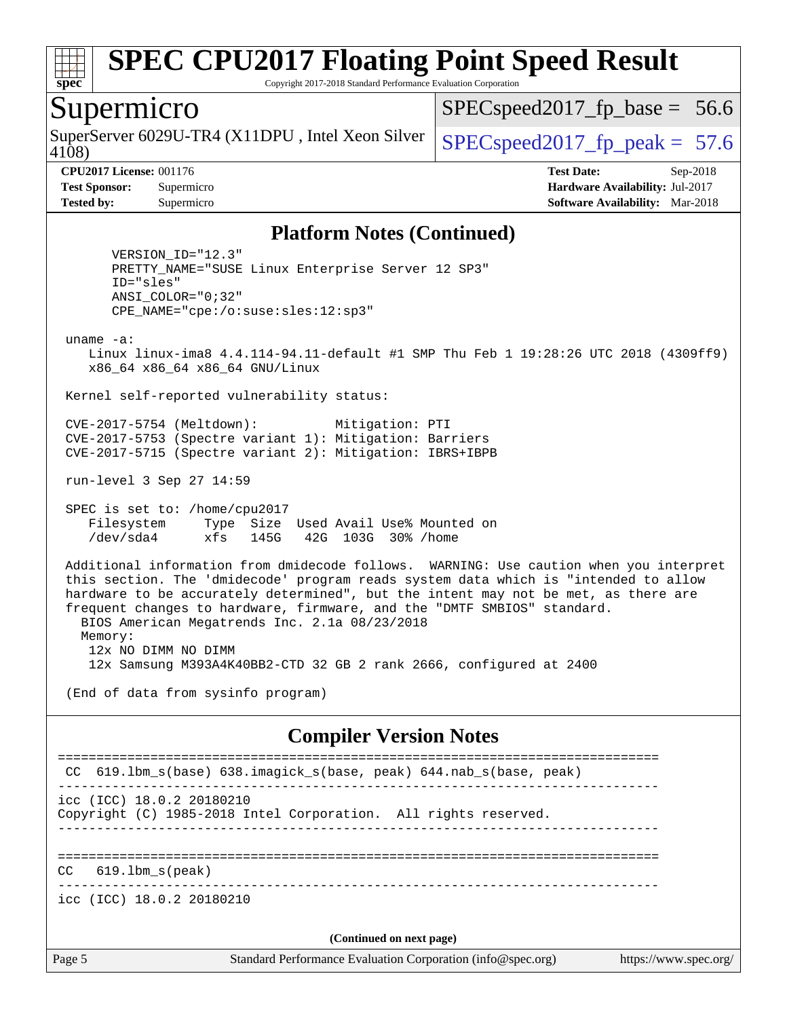

Copyright 2017-2018 Standard Performance Evaluation Corporation

### Supermicro

4108) SuperServer 6029U-TR4 (X11DPU, Intel Xeon Silver  $\big|$  [SPECspeed2017\\_fp\\_peak =](http://www.spec.org/auto/cpu2017/Docs/result-fields.html#SPECspeed2017fppeak) 57.6

 $SPECspeed2017_fp\_base = 56.6$ 

**[CPU2017 License:](http://www.spec.org/auto/cpu2017/Docs/result-fields.html#CPU2017License)** 001176 **[Test Date:](http://www.spec.org/auto/cpu2017/Docs/result-fields.html#TestDate)** Sep-2018 **[Test Sponsor:](http://www.spec.org/auto/cpu2017/Docs/result-fields.html#TestSponsor)** Supermicro **[Hardware Availability:](http://www.spec.org/auto/cpu2017/Docs/result-fields.html#HardwareAvailability)** Jul-2017 **[Tested by:](http://www.spec.org/auto/cpu2017/Docs/result-fields.html#Testedby)** Supermicro **[Software Availability:](http://www.spec.org/auto/cpu2017/Docs/result-fields.html#SoftwareAvailability)** Mar-2018

#### **[Platform Notes \(Continued\)](http://www.spec.org/auto/cpu2017/Docs/result-fields.html#PlatformNotes)**

 VERSION\_ID="12.3" PRETTY\_NAME="SUSE Linux Enterprise Server 12 SP3" ID="sles" ANSI\_COLOR="0;32" CPE\_NAME="cpe:/o:suse:sles:12:sp3"

uname -a:

 Linux linux-ima8 4.4.114-94.11-default #1 SMP Thu Feb 1 19:28:26 UTC 2018 (4309ff9) x86\_64 x86\_64 x86\_64 GNU/Linux

Kernel self-reported vulnerability status:

 CVE-2017-5754 (Meltdown): Mitigation: PTI CVE-2017-5753 (Spectre variant 1): Mitigation: Barriers CVE-2017-5715 (Spectre variant 2): Mitigation: IBRS+IBPB

run-level 3 Sep 27 14:59

 SPEC is set to: /home/cpu2017 Filesystem Type Size Used Avail Use% Mounted on /dev/sda4 xfs 145G 42G 103G 30% /home

 Additional information from dmidecode follows. WARNING: Use caution when you interpret this section. The 'dmidecode' program reads system data which is "intended to allow hardware to be accurately determined", but the intent may not be met, as there are frequent changes to hardware, firmware, and the "DMTF SMBIOS" standard. BIOS American Megatrends Inc. 2.1a 08/23/2018 Memory: 12x NO DIMM NO DIMM

12x Samsung M393A4K40BB2-CTD 32 GB 2 rank 2666, configured at 2400

(End of data from sysinfo program)

#### **[Compiler Version Notes](http://www.spec.org/auto/cpu2017/Docs/result-fields.html#CompilerVersionNotes)**

Page 5 Standard Performance Evaluation Corporation [\(info@spec.org\)](mailto:info@spec.org) <https://www.spec.org/> ============================================================================== CC 619.1bm s(base) 638.imagick s(base, peak) 644.nab s(base, peak) ----------------------------------------------------------------------------- icc (ICC) 18.0.2 20180210 Copyright (C) 1985-2018 Intel Corporation. All rights reserved. ------------------------------------------------------------------------------ ============================================================================== CC 619.lbm\_s(peak) ----------------------------------------------------------------------------- icc (ICC) 18.0.2 20180210 **(Continued on next page)**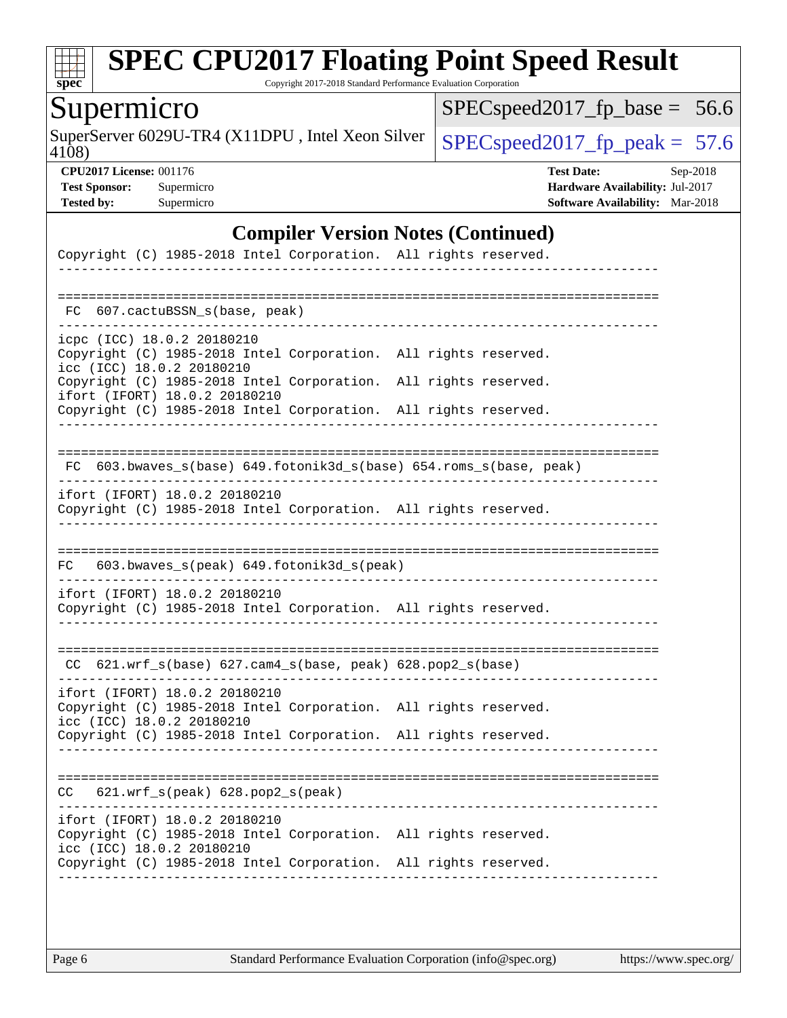

Copyright 2017-2018 Standard Performance Evaluation Corporation

# Supermicro

SuperServer 6029U-TR4 (X11DPU, Intel Xeon Silver  $\big|$  [SPECspeed2017\\_fp\\_peak =](http://www.spec.org/auto/cpu2017/Docs/result-fields.html#SPECspeed2017fppeak) 57.6

[SPECspeed2017\\_fp\\_base =](http://www.spec.org/auto/cpu2017/Docs/result-fields.html#SPECspeed2017fpbase) 56.6

4108)

**[CPU2017 License:](http://www.spec.org/auto/cpu2017/Docs/result-fields.html#CPU2017License)** 001176 **[Test Date:](http://www.spec.org/auto/cpu2017/Docs/result-fields.html#TestDate)** Sep-2018 **[Test Sponsor:](http://www.spec.org/auto/cpu2017/Docs/result-fields.html#TestSponsor)** Supermicro **[Hardware Availability:](http://www.spec.org/auto/cpu2017/Docs/result-fields.html#HardwareAvailability)** Jul-2017 **[Tested by:](http://www.spec.org/auto/cpu2017/Docs/result-fields.html#Testedby)** Supermicro **[Software Availability:](http://www.spec.org/auto/cpu2017/Docs/result-fields.html#SoftwareAvailability)** Mar-2018

### **[Compiler Version Notes \(Continued\)](http://www.spec.org/auto/cpu2017/Docs/result-fields.html#CompilerVersionNotes)**

| Copyright (C) 1985-2018 Intel Corporation. All rights reserved.                                                                                                                                  |                                              |
|--------------------------------------------------------------------------------------------------------------------------------------------------------------------------------------------------|----------------------------------------------|
| FC 607.cactuBSSN_s(base, peak)                                                                                                                                                                   |                                              |
| icpc (ICC) 18.0.2 20180210<br>Copyright (C) 1985-2018 Intel Corporation. All rights reserved.<br>icc (ICC) 18.0.2 20180210                                                                       |                                              |
| Copyright (C) 1985-2018 Intel Corporation.<br>ifort (IFORT) 18.0.2 20180210<br>Copyright (C) 1985-2018 Intel Corporation.                                                                        | All rights reserved.<br>All rights reserved. |
| FC 603.bwaves_s(base) 649.fotonik3d_s(base) 654.roms_s(base, peak)                                                                                                                               |                                              |
| ifort (IFORT) 18.0.2 20180210<br>Copyright (C) 1985-2018 Intel Corporation. All rights reserved.                                                                                                 |                                              |
| 603.bwaves_s(peak) 649.fotonik3d_s(peak)<br>FC                                                                                                                                                   |                                              |
| ifort (IFORT) 18.0.2 20180210<br>Copyright (C) 1985-2018 Intel Corporation. All rights reserved.                                                                                                 |                                              |
| CC 621.wrf_s(base) 627.cam4_s(base, peak) 628.pop2_s(base)                                                                                                                                       |                                              |
| ifort (IFORT) 18.0.2 20180210<br>Copyright (C) 1985-2018 Intel Corporation. All rights reserved.<br>icc (ICC) 18.0.2 20180210                                                                    |                                              |
| Copyright (C) 1985-2018 Intel Corporation. All rights reserved.                                                                                                                                  |                                              |
| $621.wrf_s(peak)$ $628.pop2_s(peak)$<br>CC.                                                                                                                                                      |                                              |
| ifort (IFORT) 18.0.2 20180210<br>Copyright (C) 1985-2018 Intel Corporation. All rights reserved.<br>icc (ICC) 18.0.2 20180210<br>Copyright (C) 1985-2018 Intel Corporation. All rights reserved. |                                              |
|                                                                                                                                                                                                  |                                              |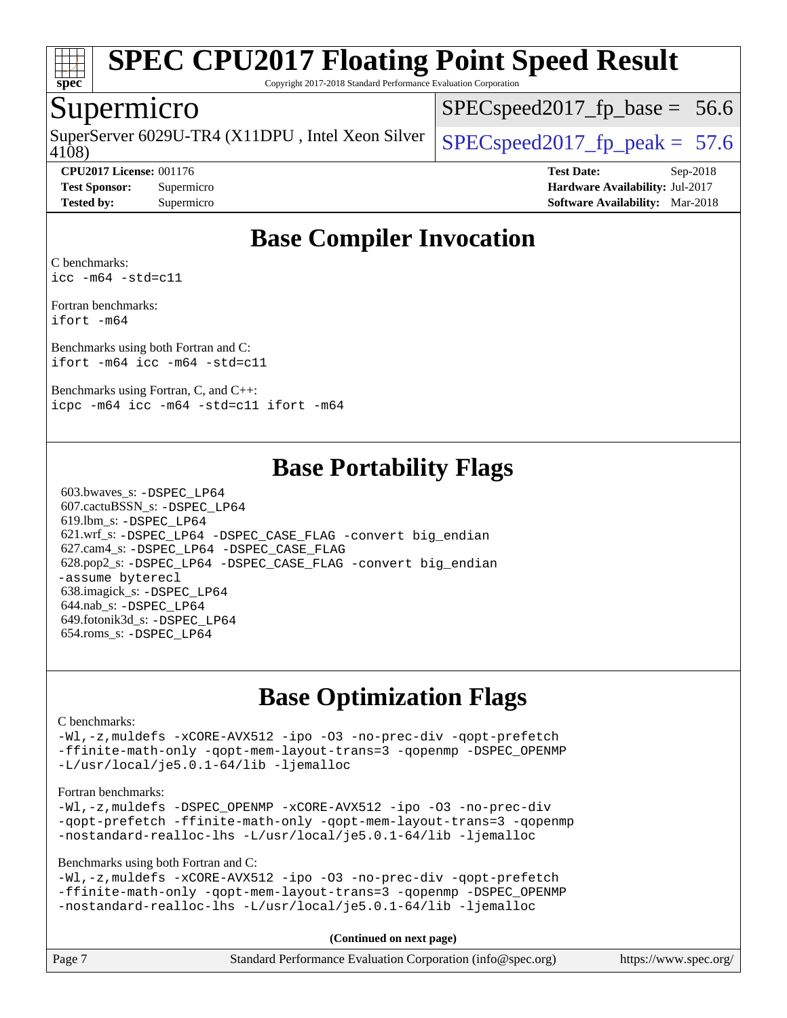

Copyright 2017-2018 Standard Performance Evaluation Corporation

### Supermicro

4108) SuperServer 6029U-TR4 (X11DPU, Intel Xeon Silver  $\big|$  SPECspeed2017 fp\_peak = 57.6

 $SPECspeed2017<sub>fp</sub> base = 56.6$ 

**[CPU2017 License:](http://www.spec.org/auto/cpu2017/Docs/result-fields.html#CPU2017License)** 001176 **[Test Date:](http://www.spec.org/auto/cpu2017/Docs/result-fields.html#TestDate)** Sep-2018 **[Test Sponsor:](http://www.spec.org/auto/cpu2017/Docs/result-fields.html#TestSponsor)** Supermicro **[Hardware Availability:](http://www.spec.org/auto/cpu2017/Docs/result-fields.html#HardwareAvailability)** Jul-2017 **[Tested by:](http://www.spec.org/auto/cpu2017/Docs/result-fields.html#Testedby)** Supermicro **[Software Availability:](http://www.spec.org/auto/cpu2017/Docs/result-fields.html#SoftwareAvailability)** Mar-2018

# **[Base Compiler Invocation](http://www.spec.org/auto/cpu2017/Docs/result-fields.html#BaseCompilerInvocation)**

[C benchmarks](http://www.spec.org/auto/cpu2017/Docs/result-fields.html#Cbenchmarks): [icc -m64 -std=c11](http://www.spec.org/cpu2017/results/res2018q4/cpu2017-20181002-09054.flags.html#user_CCbase_intel_icc_64bit_c11_33ee0cdaae7deeeab2a9725423ba97205ce30f63b9926c2519791662299b76a0318f32ddfffdc46587804de3178b4f9328c46fa7c2b0cd779d7a61945c91cd35)

[Fortran benchmarks](http://www.spec.org/auto/cpu2017/Docs/result-fields.html#Fortranbenchmarks): [ifort -m64](http://www.spec.org/cpu2017/results/res2018q4/cpu2017-20181002-09054.flags.html#user_FCbase_intel_ifort_64bit_24f2bb282fbaeffd6157abe4f878425411749daecae9a33200eee2bee2fe76f3b89351d69a8130dd5949958ce389cf37ff59a95e7a40d588e8d3a57e0c3fd751)

[Benchmarks using both Fortran and C](http://www.spec.org/auto/cpu2017/Docs/result-fields.html#BenchmarksusingbothFortranandC): [ifort -m64](http://www.spec.org/cpu2017/results/res2018q4/cpu2017-20181002-09054.flags.html#user_CC_FCbase_intel_ifort_64bit_24f2bb282fbaeffd6157abe4f878425411749daecae9a33200eee2bee2fe76f3b89351d69a8130dd5949958ce389cf37ff59a95e7a40d588e8d3a57e0c3fd751) [icc -m64 -std=c11](http://www.spec.org/cpu2017/results/res2018q4/cpu2017-20181002-09054.flags.html#user_CC_FCbase_intel_icc_64bit_c11_33ee0cdaae7deeeab2a9725423ba97205ce30f63b9926c2519791662299b76a0318f32ddfffdc46587804de3178b4f9328c46fa7c2b0cd779d7a61945c91cd35)

[Benchmarks using Fortran, C, and C++](http://www.spec.org/auto/cpu2017/Docs/result-fields.html#BenchmarksusingFortranCandCXX): [icpc -m64](http://www.spec.org/cpu2017/results/res2018q4/cpu2017-20181002-09054.flags.html#user_CC_CXX_FCbase_intel_icpc_64bit_4ecb2543ae3f1412ef961e0650ca070fec7b7afdcd6ed48761b84423119d1bf6bdf5cad15b44d48e7256388bc77273b966e5eb805aefd121eb22e9299b2ec9d9) [icc -m64 -std=c11](http://www.spec.org/cpu2017/results/res2018q4/cpu2017-20181002-09054.flags.html#user_CC_CXX_FCbase_intel_icc_64bit_c11_33ee0cdaae7deeeab2a9725423ba97205ce30f63b9926c2519791662299b76a0318f32ddfffdc46587804de3178b4f9328c46fa7c2b0cd779d7a61945c91cd35) [ifort -m64](http://www.spec.org/cpu2017/results/res2018q4/cpu2017-20181002-09054.flags.html#user_CC_CXX_FCbase_intel_ifort_64bit_24f2bb282fbaeffd6157abe4f878425411749daecae9a33200eee2bee2fe76f3b89351d69a8130dd5949958ce389cf37ff59a95e7a40d588e8d3a57e0c3fd751)

## **[Base Portability Flags](http://www.spec.org/auto/cpu2017/Docs/result-fields.html#BasePortabilityFlags)**

 603.bwaves\_s: [-DSPEC\\_LP64](http://www.spec.org/cpu2017/results/res2018q4/cpu2017-20181002-09054.flags.html#suite_basePORTABILITY603_bwaves_s_DSPEC_LP64) 607.cactuBSSN\_s: [-DSPEC\\_LP64](http://www.spec.org/cpu2017/results/res2018q4/cpu2017-20181002-09054.flags.html#suite_basePORTABILITY607_cactuBSSN_s_DSPEC_LP64) 619.lbm\_s: [-DSPEC\\_LP64](http://www.spec.org/cpu2017/results/res2018q4/cpu2017-20181002-09054.flags.html#suite_basePORTABILITY619_lbm_s_DSPEC_LP64) 621.wrf\_s: [-DSPEC\\_LP64](http://www.spec.org/cpu2017/results/res2018q4/cpu2017-20181002-09054.flags.html#suite_basePORTABILITY621_wrf_s_DSPEC_LP64) [-DSPEC\\_CASE\\_FLAG](http://www.spec.org/cpu2017/results/res2018q4/cpu2017-20181002-09054.flags.html#b621.wrf_s_baseCPORTABILITY_DSPEC_CASE_FLAG) [-convert big\\_endian](http://www.spec.org/cpu2017/results/res2018q4/cpu2017-20181002-09054.flags.html#user_baseFPORTABILITY621_wrf_s_convert_big_endian_c3194028bc08c63ac5d04de18c48ce6d347e4e562e8892b8bdbdc0214820426deb8554edfa529a3fb25a586e65a3d812c835984020483e7e73212c4d31a38223) 627.cam4\_s: [-DSPEC\\_LP64](http://www.spec.org/cpu2017/results/res2018q4/cpu2017-20181002-09054.flags.html#suite_basePORTABILITY627_cam4_s_DSPEC_LP64) [-DSPEC\\_CASE\\_FLAG](http://www.spec.org/cpu2017/results/res2018q4/cpu2017-20181002-09054.flags.html#b627.cam4_s_baseCPORTABILITY_DSPEC_CASE_FLAG) 628.pop2\_s: [-DSPEC\\_LP64](http://www.spec.org/cpu2017/results/res2018q4/cpu2017-20181002-09054.flags.html#suite_basePORTABILITY628_pop2_s_DSPEC_LP64) [-DSPEC\\_CASE\\_FLAG](http://www.spec.org/cpu2017/results/res2018q4/cpu2017-20181002-09054.flags.html#b628.pop2_s_baseCPORTABILITY_DSPEC_CASE_FLAG) [-convert big\\_endian](http://www.spec.org/cpu2017/results/res2018q4/cpu2017-20181002-09054.flags.html#user_baseFPORTABILITY628_pop2_s_convert_big_endian_c3194028bc08c63ac5d04de18c48ce6d347e4e562e8892b8bdbdc0214820426deb8554edfa529a3fb25a586e65a3d812c835984020483e7e73212c4d31a38223) [-assume byterecl](http://www.spec.org/cpu2017/results/res2018q4/cpu2017-20181002-09054.flags.html#user_baseFPORTABILITY628_pop2_s_assume_byterecl_7e47d18b9513cf18525430bbf0f2177aa9bf368bc7a059c09b2c06a34b53bd3447c950d3f8d6c70e3faf3a05c8557d66a5798b567902e8849adc142926523472) 638.imagick\_s: [-DSPEC\\_LP64](http://www.spec.org/cpu2017/results/res2018q4/cpu2017-20181002-09054.flags.html#suite_basePORTABILITY638_imagick_s_DSPEC_LP64) 644.nab\_s: [-DSPEC\\_LP64](http://www.spec.org/cpu2017/results/res2018q4/cpu2017-20181002-09054.flags.html#suite_basePORTABILITY644_nab_s_DSPEC_LP64) 649.fotonik3d\_s: [-DSPEC\\_LP64](http://www.spec.org/cpu2017/results/res2018q4/cpu2017-20181002-09054.flags.html#suite_basePORTABILITY649_fotonik3d_s_DSPEC_LP64) 654.roms\_s: [-DSPEC\\_LP64](http://www.spec.org/cpu2017/results/res2018q4/cpu2017-20181002-09054.flags.html#suite_basePORTABILITY654_roms_s_DSPEC_LP64)

# **[Base Optimization Flags](http://www.spec.org/auto/cpu2017/Docs/result-fields.html#BaseOptimizationFlags)**

#### [C benchmarks](http://www.spec.org/auto/cpu2017/Docs/result-fields.html#Cbenchmarks):

[-Wl,-z,muldefs](http://www.spec.org/cpu2017/results/res2018q4/cpu2017-20181002-09054.flags.html#user_CCbase_link_force_multiple1_b4cbdb97b34bdee9ceefcfe54f4c8ea74255f0b02a4b23e853cdb0e18eb4525ac79b5a88067c842dd0ee6996c24547a27a4b99331201badda8798ef8a743f577) [-xCORE-AVX512](http://www.spec.org/cpu2017/results/res2018q4/cpu2017-20181002-09054.flags.html#user_CCbase_f-xCORE-AVX512) [-ipo](http://www.spec.org/cpu2017/results/res2018q4/cpu2017-20181002-09054.flags.html#user_CCbase_f-ipo) [-O3](http://www.spec.org/cpu2017/results/res2018q4/cpu2017-20181002-09054.flags.html#user_CCbase_f-O3) [-no-prec-div](http://www.spec.org/cpu2017/results/res2018q4/cpu2017-20181002-09054.flags.html#user_CCbase_f-no-prec-div) [-qopt-prefetch](http://www.spec.org/cpu2017/results/res2018q4/cpu2017-20181002-09054.flags.html#user_CCbase_f-qopt-prefetch) [-ffinite-math-only](http://www.spec.org/cpu2017/results/res2018q4/cpu2017-20181002-09054.flags.html#user_CCbase_f_finite_math_only_cb91587bd2077682c4b38af759c288ed7c732db004271a9512da14a4f8007909a5f1427ecbf1a0fb78ff2a814402c6114ac565ca162485bbcae155b5e4258871) [-qopt-mem-layout-trans=3](http://www.spec.org/cpu2017/results/res2018q4/cpu2017-20181002-09054.flags.html#user_CCbase_f-qopt-mem-layout-trans_de80db37974c74b1f0e20d883f0b675c88c3b01e9d123adea9b28688d64333345fb62bc4a798493513fdb68f60282f9a726aa07f478b2f7113531aecce732043) [-qopenmp](http://www.spec.org/cpu2017/results/res2018q4/cpu2017-20181002-09054.flags.html#user_CCbase_qopenmp_16be0c44f24f464004c6784a7acb94aca937f053568ce72f94b139a11c7c168634a55f6653758ddd83bcf7b8463e8028bb0b48b77bcddc6b78d5d95bb1df2967) [-DSPEC\\_OPENMP](http://www.spec.org/cpu2017/results/res2018q4/cpu2017-20181002-09054.flags.html#suite_CCbase_DSPEC_OPENMP) [-L/usr/local/je5.0.1-64/lib](http://www.spec.org/cpu2017/results/res2018q4/cpu2017-20181002-09054.flags.html#user_CCbase_jemalloc_link_path64_4b10a636b7bce113509b17f3bd0d6226c5fb2346b9178c2d0232c14f04ab830f976640479e5c33dc2bcbbdad86ecfb6634cbbd4418746f06f368b512fced5394) [-ljemalloc](http://www.spec.org/cpu2017/results/res2018q4/cpu2017-20181002-09054.flags.html#user_CCbase_jemalloc_link_lib_d1249b907c500fa1c0672f44f562e3d0f79738ae9e3c4a9c376d49f265a04b9c99b167ecedbf6711b3085be911c67ff61f150a17b3472be731631ba4d0471706)

#### [Fortran benchmarks](http://www.spec.org/auto/cpu2017/Docs/result-fields.html#Fortranbenchmarks):

[-Wl,-z,muldefs](http://www.spec.org/cpu2017/results/res2018q4/cpu2017-20181002-09054.flags.html#user_FCbase_link_force_multiple1_b4cbdb97b34bdee9ceefcfe54f4c8ea74255f0b02a4b23e853cdb0e18eb4525ac79b5a88067c842dd0ee6996c24547a27a4b99331201badda8798ef8a743f577) [-DSPEC\\_OPENMP](http://www.spec.org/cpu2017/results/res2018q4/cpu2017-20181002-09054.flags.html#suite_FCbase_DSPEC_OPENMP) [-xCORE-AVX512](http://www.spec.org/cpu2017/results/res2018q4/cpu2017-20181002-09054.flags.html#user_FCbase_f-xCORE-AVX512) [-ipo](http://www.spec.org/cpu2017/results/res2018q4/cpu2017-20181002-09054.flags.html#user_FCbase_f-ipo) [-O3](http://www.spec.org/cpu2017/results/res2018q4/cpu2017-20181002-09054.flags.html#user_FCbase_f-O3) [-no-prec-div](http://www.spec.org/cpu2017/results/res2018q4/cpu2017-20181002-09054.flags.html#user_FCbase_f-no-prec-div) [-qopt-prefetch](http://www.spec.org/cpu2017/results/res2018q4/cpu2017-20181002-09054.flags.html#user_FCbase_f-qopt-prefetch) [-ffinite-math-only](http://www.spec.org/cpu2017/results/res2018q4/cpu2017-20181002-09054.flags.html#user_FCbase_f_finite_math_only_cb91587bd2077682c4b38af759c288ed7c732db004271a9512da14a4f8007909a5f1427ecbf1a0fb78ff2a814402c6114ac565ca162485bbcae155b5e4258871) [-qopt-mem-layout-trans=3](http://www.spec.org/cpu2017/results/res2018q4/cpu2017-20181002-09054.flags.html#user_FCbase_f-qopt-mem-layout-trans_de80db37974c74b1f0e20d883f0b675c88c3b01e9d123adea9b28688d64333345fb62bc4a798493513fdb68f60282f9a726aa07f478b2f7113531aecce732043) [-qopenmp](http://www.spec.org/cpu2017/results/res2018q4/cpu2017-20181002-09054.flags.html#user_FCbase_qopenmp_16be0c44f24f464004c6784a7acb94aca937f053568ce72f94b139a11c7c168634a55f6653758ddd83bcf7b8463e8028bb0b48b77bcddc6b78d5d95bb1df2967) [-nostandard-realloc-lhs](http://www.spec.org/cpu2017/results/res2018q4/cpu2017-20181002-09054.flags.html#user_FCbase_f_2003_std_realloc_82b4557e90729c0f113870c07e44d33d6f5a304b4f63d4c15d2d0f1fab99f5daaed73bdb9275d9ae411527f28b936061aa8b9c8f2d63842963b95c9dd6426b8a) [-L/usr/local/je5.0.1-64/lib](http://www.spec.org/cpu2017/results/res2018q4/cpu2017-20181002-09054.flags.html#user_FCbase_jemalloc_link_path64_4b10a636b7bce113509b17f3bd0d6226c5fb2346b9178c2d0232c14f04ab830f976640479e5c33dc2bcbbdad86ecfb6634cbbd4418746f06f368b512fced5394) [-ljemalloc](http://www.spec.org/cpu2017/results/res2018q4/cpu2017-20181002-09054.flags.html#user_FCbase_jemalloc_link_lib_d1249b907c500fa1c0672f44f562e3d0f79738ae9e3c4a9c376d49f265a04b9c99b167ecedbf6711b3085be911c67ff61f150a17b3472be731631ba4d0471706)

[Benchmarks using both Fortran and C](http://www.spec.org/auto/cpu2017/Docs/result-fields.html#BenchmarksusingbothFortranandC):

[-Wl,-z,muldefs](http://www.spec.org/cpu2017/results/res2018q4/cpu2017-20181002-09054.flags.html#user_CC_FCbase_link_force_multiple1_b4cbdb97b34bdee9ceefcfe54f4c8ea74255f0b02a4b23e853cdb0e18eb4525ac79b5a88067c842dd0ee6996c24547a27a4b99331201badda8798ef8a743f577) [-xCORE-AVX512](http://www.spec.org/cpu2017/results/res2018q4/cpu2017-20181002-09054.flags.html#user_CC_FCbase_f-xCORE-AVX512) [-ipo](http://www.spec.org/cpu2017/results/res2018q4/cpu2017-20181002-09054.flags.html#user_CC_FCbase_f-ipo) [-O3](http://www.spec.org/cpu2017/results/res2018q4/cpu2017-20181002-09054.flags.html#user_CC_FCbase_f-O3) [-no-prec-div](http://www.spec.org/cpu2017/results/res2018q4/cpu2017-20181002-09054.flags.html#user_CC_FCbase_f-no-prec-div) [-qopt-prefetch](http://www.spec.org/cpu2017/results/res2018q4/cpu2017-20181002-09054.flags.html#user_CC_FCbase_f-qopt-prefetch) [-ffinite-math-only](http://www.spec.org/cpu2017/results/res2018q4/cpu2017-20181002-09054.flags.html#user_CC_FCbase_f_finite_math_only_cb91587bd2077682c4b38af759c288ed7c732db004271a9512da14a4f8007909a5f1427ecbf1a0fb78ff2a814402c6114ac565ca162485bbcae155b5e4258871) [-qopt-mem-layout-trans=3](http://www.spec.org/cpu2017/results/res2018q4/cpu2017-20181002-09054.flags.html#user_CC_FCbase_f-qopt-mem-layout-trans_de80db37974c74b1f0e20d883f0b675c88c3b01e9d123adea9b28688d64333345fb62bc4a798493513fdb68f60282f9a726aa07f478b2f7113531aecce732043) [-qopenmp](http://www.spec.org/cpu2017/results/res2018q4/cpu2017-20181002-09054.flags.html#user_CC_FCbase_qopenmp_16be0c44f24f464004c6784a7acb94aca937f053568ce72f94b139a11c7c168634a55f6653758ddd83bcf7b8463e8028bb0b48b77bcddc6b78d5d95bb1df2967) [-DSPEC\\_OPENMP](http://www.spec.org/cpu2017/results/res2018q4/cpu2017-20181002-09054.flags.html#suite_CC_FCbase_DSPEC_OPENMP) [-nostandard-realloc-lhs](http://www.spec.org/cpu2017/results/res2018q4/cpu2017-20181002-09054.flags.html#user_CC_FCbase_f_2003_std_realloc_82b4557e90729c0f113870c07e44d33d6f5a304b4f63d4c15d2d0f1fab99f5daaed73bdb9275d9ae411527f28b936061aa8b9c8f2d63842963b95c9dd6426b8a) [-L/usr/local/je5.0.1-64/lib](http://www.spec.org/cpu2017/results/res2018q4/cpu2017-20181002-09054.flags.html#user_CC_FCbase_jemalloc_link_path64_4b10a636b7bce113509b17f3bd0d6226c5fb2346b9178c2d0232c14f04ab830f976640479e5c33dc2bcbbdad86ecfb6634cbbd4418746f06f368b512fced5394) [-ljemalloc](http://www.spec.org/cpu2017/results/res2018q4/cpu2017-20181002-09054.flags.html#user_CC_FCbase_jemalloc_link_lib_d1249b907c500fa1c0672f44f562e3d0f79738ae9e3c4a9c376d49f265a04b9c99b167ecedbf6711b3085be911c67ff61f150a17b3472be731631ba4d0471706)

**(Continued on next page)**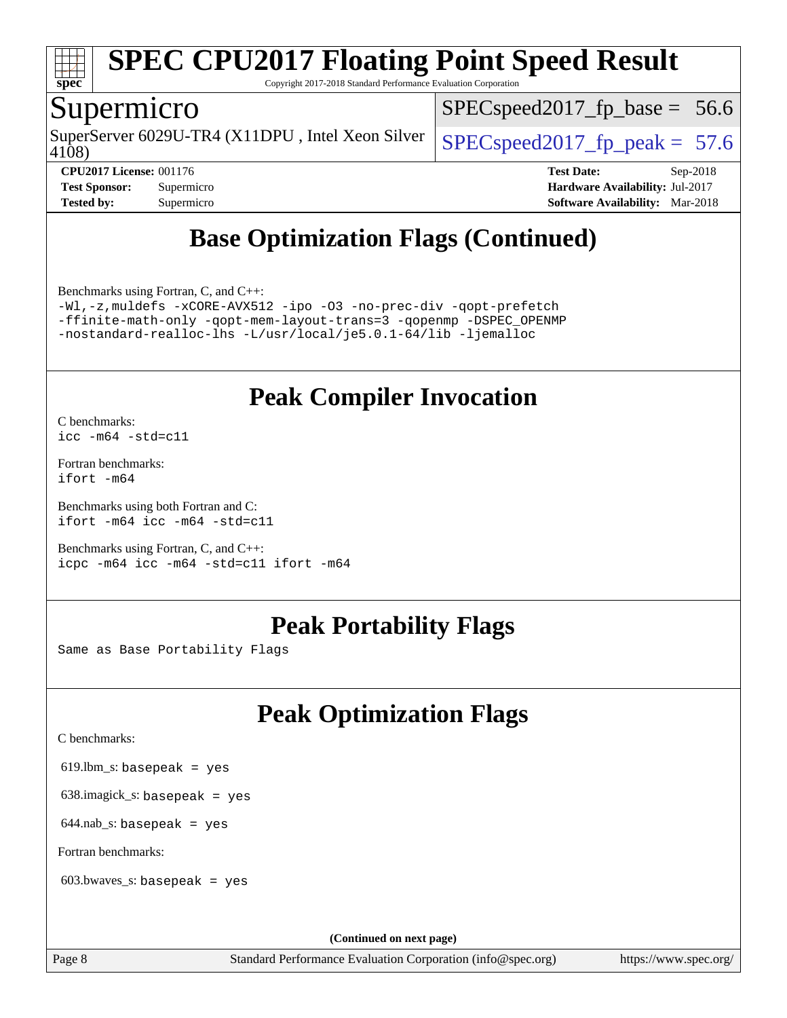

Copyright 2017-2018 Standard Performance Evaluation Corporation

## Supermicro

4108) SuperServer 6029U-TR4 (X11DPU, Intel Xeon Silver  $SPECspeed2017$  fp\_peak = 57.6

 $SPECspeed2017<sub>fp</sub> base = 56.6$ 

**[Tested by:](http://www.spec.org/auto/cpu2017/Docs/result-fields.html#Testedby)** Supermicro **[Software Availability:](http://www.spec.org/auto/cpu2017/Docs/result-fields.html#SoftwareAvailability)** Mar-2018

**[CPU2017 License:](http://www.spec.org/auto/cpu2017/Docs/result-fields.html#CPU2017License)** 001176 **[Test Date:](http://www.spec.org/auto/cpu2017/Docs/result-fields.html#TestDate)** Sep-2018 **[Test Sponsor:](http://www.spec.org/auto/cpu2017/Docs/result-fields.html#TestSponsor)** Supermicro **[Hardware Availability:](http://www.spec.org/auto/cpu2017/Docs/result-fields.html#HardwareAvailability)** Jul-2017

# **[Base Optimization Flags \(Continued\)](http://www.spec.org/auto/cpu2017/Docs/result-fields.html#BaseOptimizationFlags)**

[Benchmarks using Fortran, C, and C++:](http://www.spec.org/auto/cpu2017/Docs/result-fields.html#BenchmarksusingFortranCandCXX)

[-Wl,-z,muldefs](http://www.spec.org/cpu2017/results/res2018q4/cpu2017-20181002-09054.flags.html#user_CC_CXX_FCbase_link_force_multiple1_b4cbdb97b34bdee9ceefcfe54f4c8ea74255f0b02a4b23e853cdb0e18eb4525ac79b5a88067c842dd0ee6996c24547a27a4b99331201badda8798ef8a743f577) [-xCORE-AVX512](http://www.spec.org/cpu2017/results/res2018q4/cpu2017-20181002-09054.flags.html#user_CC_CXX_FCbase_f-xCORE-AVX512) [-ipo](http://www.spec.org/cpu2017/results/res2018q4/cpu2017-20181002-09054.flags.html#user_CC_CXX_FCbase_f-ipo) [-O3](http://www.spec.org/cpu2017/results/res2018q4/cpu2017-20181002-09054.flags.html#user_CC_CXX_FCbase_f-O3) [-no-prec-div](http://www.spec.org/cpu2017/results/res2018q4/cpu2017-20181002-09054.flags.html#user_CC_CXX_FCbase_f-no-prec-div) [-qopt-prefetch](http://www.spec.org/cpu2017/results/res2018q4/cpu2017-20181002-09054.flags.html#user_CC_CXX_FCbase_f-qopt-prefetch) [-ffinite-math-only](http://www.spec.org/cpu2017/results/res2018q4/cpu2017-20181002-09054.flags.html#user_CC_CXX_FCbase_f_finite_math_only_cb91587bd2077682c4b38af759c288ed7c732db004271a9512da14a4f8007909a5f1427ecbf1a0fb78ff2a814402c6114ac565ca162485bbcae155b5e4258871) [-qopt-mem-layout-trans=3](http://www.spec.org/cpu2017/results/res2018q4/cpu2017-20181002-09054.flags.html#user_CC_CXX_FCbase_f-qopt-mem-layout-trans_de80db37974c74b1f0e20d883f0b675c88c3b01e9d123adea9b28688d64333345fb62bc4a798493513fdb68f60282f9a726aa07f478b2f7113531aecce732043) [-qopenmp](http://www.spec.org/cpu2017/results/res2018q4/cpu2017-20181002-09054.flags.html#user_CC_CXX_FCbase_qopenmp_16be0c44f24f464004c6784a7acb94aca937f053568ce72f94b139a11c7c168634a55f6653758ddd83bcf7b8463e8028bb0b48b77bcddc6b78d5d95bb1df2967) [-DSPEC\\_OPENMP](http://www.spec.org/cpu2017/results/res2018q4/cpu2017-20181002-09054.flags.html#suite_CC_CXX_FCbase_DSPEC_OPENMP) [-nostandard-realloc-lhs](http://www.spec.org/cpu2017/results/res2018q4/cpu2017-20181002-09054.flags.html#user_CC_CXX_FCbase_f_2003_std_realloc_82b4557e90729c0f113870c07e44d33d6f5a304b4f63d4c15d2d0f1fab99f5daaed73bdb9275d9ae411527f28b936061aa8b9c8f2d63842963b95c9dd6426b8a) [-L/usr/local/je5.0.1-64/lib](http://www.spec.org/cpu2017/results/res2018q4/cpu2017-20181002-09054.flags.html#user_CC_CXX_FCbase_jemalloc_link_path64_4b10a636b7bce113509b17f3bd0d6226c5fb2346b9178c2d0232c14f04ab830f976640479e5c33dc2bcbbdad86ecfb6634cbbd4418746f06f368b512fced5394) [-ljemalloc](http://www.spec.org/cpu2017/results/res2018q4/cpu2017-20181002-09054.flags.html#user_CC_CXX_FCbase_jemalloc_link_lib_d1249b907c500fa1c0672f44f562e3d0f79738ae9e3c4a9c376d49f265a04b9c99b167ecedbf6711b3085be911c67ff61f150a17b3472be731631ba4d0471706)

# **[Peak Compiler Invocation](http://www.spec.org/auto/cpu2017/Docs/result-fields.html#PeakCompilerInvocation)**

[C benchmarks](http://www.spec.org/auto/cpu2017/Docs/result-fields.html#Cbenchmarks): [icc -m64 -std=c11](http://www.spec.org/cpu2017/results/res2018q4/cpu2017-20181002-09054.flags.html#user_CCpeak_intel_icc_64bit_c11_33ee0cdaae7deeeab2a9725423ba97205ce30f63b9926c2519791662299b76a0318f32ddfffdc46587804de3178b4f9328c46fa7c2b0cd779d7a61945c91cd35)

[Fortran benchmarks](http://www.spec.org/auto/cpu2017/Docs/result-fields.html#Fortranbenchmarks): [ifort -m64](http://www.spec.org/cpu2017/results/res2018q4/cpu2017-20181002-09054.flags.html#user_FCpeak_intel_ifort_64bit_24f2bb282fbaeffd6157abe4f878425411749daecae9a33200eee2bee2fe76f3b89351d69a8130dd5949958ce389cf37ff59a95e7a40d588e8d3a57e0c3fd751)

[Benchmarks using both Fortran and C](http://www.spec.org/auto/cpu2017/Docs/result-fields.html#BenchmarksusingbothFortranandC): [ifort -m64](http://www.spec.org/cpu2017/results/res2018q4/cpu2017-20181002-09054.flags.html#user_CC_FCpeak_intel_ifort_64bit_24f2bb282fbaeffd6157abe4f878425411749daecae9a33200eee2bee2fe76f3b89351d69a8130dd5949958ce389cf37ff59a95e7a40d588e8d3a57e0c3fd751) [icc -m64 -std=c11](http://www.spec.org/cpu2017/results/res2018q4/cpu2017-20181002-09054.flags.html#user_CC_FCpeak_intel_icc_64bit_c11_33ee0cdaae7deeeab2a9725423ba97205ce30f63b9926c2519791662299b76a0318f32ddfffdc46587804de3178b4f9328c46fa7c2b0cd779d7a61945c91cd35)

[Benchmarks using Fortran, C, and C++:](http://www.spec.org/auto/cpu2017/Docs/result-fields.html#BenchmarksusingFortranCandCXX) [icpc -m64](http://www.spec.org/cpu2017/results/res2018q4/cpu2017-20181002-09054.flags.html#user_CC_CXX_FCpeak_intel_icpc_64bit_4ecb2543ae3f1412ef961e0650ca070fec7b7afdcd6ed48761b84423119d1bf6bdf5cad15b44d48e7256388bc77273b966e5eb805aefd121eb22e9299b2ec9d9) [icc -m64 -std=c11](http://www.spec.org/cpu2017/results/res2018q4/cpu2017-20181002-09054.flags.html#user_CC_CXX_FCpeak_intel_icc_64bit_c11_33ee0cdaae7deeeab2a9725423ba97205ce30f63b9926c2519791662299b76a0318f32ddfffdc46587804de3178b4f9328c46fa7c2b0cd779d7a61945c91cd35) [ifort -m64](http://www.spec.org/cpu2017/results/res2018q4/cpu2017-20181002-09054.flags.html#user_CC_CXX_FCpeak_intel_ifort_64bit_24f2bb282fbaeffd6157abe4f878425411749daecae9a33200eee2bee2fe76f3b89351d69a8130dd5949958ce389cf37ff59a95e7a40d588e8d3a57e0c3fd751)

# **[Peak Portability Flags](http://www.spec.org/auto/cpu2017/Docs/result-fields.html#PeakPortabilityFlags)**

Same as Base Portability Flags

# **[Peak Optimization Flags](http://www.spec.org/auto/cpu2017/Docs/result-fields.html#PeakOptimizationFlags)**

[C benchmarks](http://www.spec.org/auto/cpu2017/Docs/result-fields.html#Cbenchmarks):

619.lbm\_s: basepeak = yes

638.imagick\_s: basepeak = yes

 $644$ .nab\_s: basepeak = yes

[Fortran benchmarks](http://www.spec.org/auto/cpu2017/Docs/result-fields.html#Fortranbenchmarks):

603.bwaves\_s: basepeak = yes

**(Continued on next page)**

Page 8 Standard Performance Evaluation Corporation [\(info@spec.org\)](mailto:info@spec.org) <https://www.spec.org/>